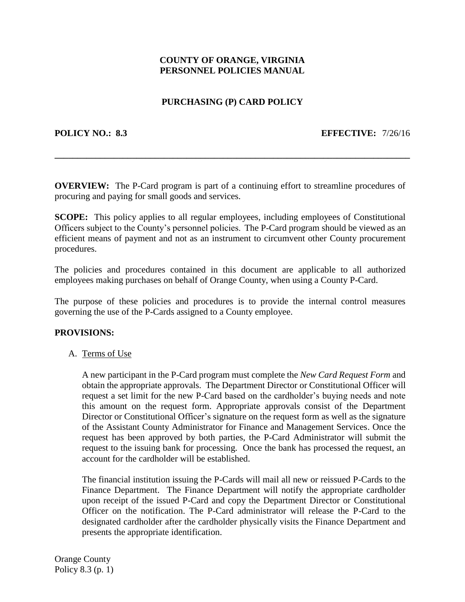## **COUNTY OF ORANGE, VIRGINIA PERSONNEL POLICIES MANUAL**

# **PURCHASING (P) CARD POLICY**

#### **POLICY NO.: 8.3 EFFECTIVE:** 7/26/16

**OVERVIEW:** The P-Card program is part of a continuing effort to streamline procedures of procuring and paying for small goods and services.

**\_\_\_\_\_\_\_\_\_\_\_\_\_\_\_\_\_\_\_\_\_\_\_\_\_\_\_\_\_\_\_\_\_\_\_\_\_\_\_\_\_\_\_\_\_\_\_\_\_\_\_\_\_\_\_\_\_\_\_\_\_\_\_\_\_\_\_\_\_\_\_\_\_\_\_\_\_\_**

**SCOPE:** This policy applies to all regular employees, including employees of Constitutional Officers subject to the County's personnel policies. The P-Card program should be viewed as an efficient means of payment and not as an instrument to circumvent other County procurement procedures.

The policies and procedures contained in this document are applicable to all authorized employees making purchases on behalf of Orange County, when using a County P-Card.

The purpose of these policies and procedures is to provide the internal control measures governing the use of the P-Cards assigned to a County employee.

#### **PROVISIONS:**

A. Terms of Use

A new participant in the P-Card program must complete the *New Card Request Form* and obtain the appropriate approvals. The Department Director or Constitutional Officer will request a set limit for the new P-Card based on the cardholder's buying needs and note this amount on the request form. Appropriate approvals consist of the Department Director or Constitutional Officer's signature on the request form as well as the signature of the Assistant County Administrator for Finance and Management Services. Once the request has been approved by both parties, the P-Card Administrator will submit the request to the issuing bank for processing. Once the bank has processed the request, an account for the cardholder will be established.

The financial institution issuing the P-Cards will mail all new or reissued P-Cards to the Finance Department. The Finance Department will notify the appropriate cardholder upon receipt of the issued P-Card and copy the Department Director or Constitutional Officer on the notification. The P-Card administrator will release the P-Card to the designated cardholder after the cardholder physically visits the Finance Department and presents the appropriate identification.

Orange County Policy 8.3 (p. 1)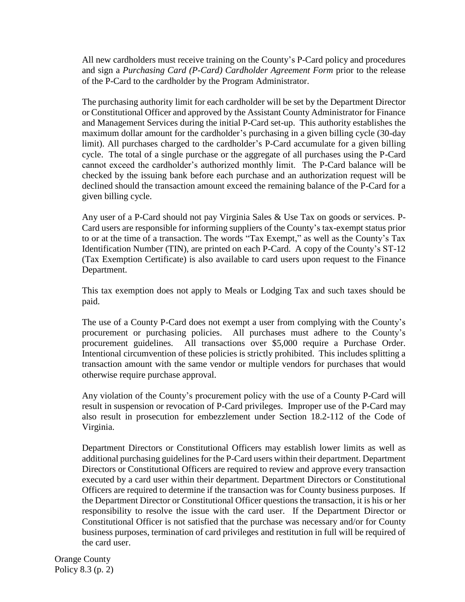All new cardholders must receive training on the County's P-Card policy and procedures and sign a *Purchasing Card (P-Card) Cardholder Agreement Form* prior to the release of the P-Card to the cardholder by the Program Administrator.

The purchasing authority limit for each cardholder will be set by the Department Director or Constitutional Officer and approved by the Assistant County Administrator for Finance and Management Services during the initial P-Card set-up. This authority establishes the maximum dollar amount for the cardholder's purchasing in a given billing cycle (30-day limit). All purchases charged to the cardholder's P-Card accumulate for a given billing cycle. The total of a single purchase or the aggregate of all purchases using the P-Card cannot exceed the cardholder's authorized monthly limit. The P-Card balance will be checked by the issuing bank before each purchase and an authorization request will be declined should the transaction amount exceed the remaining balance of the P-Card for a given billing cycle.

Any user of a P-Card should not pay Virginia Sales & Use Tax on goods or services. P-Card users are responsible for informing suppliers of the County's tax-exempt status prior to or at the time of a transaction. The words "Tax Exempt," as well as the County's Tax Identification Number (TIN), are printed on each P-Card. A copy of the County's ST-12 (Tax Exemption Certificate) is also available to card users upon request to the Finance Department.

This tax exemption does not apply to Meals or Lodging Tax and such taxes should be paid.

The use of a County P-Card does not exempt a user from complying with the County's procurement or purchasing policies. All purchases must adhere to the County's procurement guidelines. All transactions over \$5,000 require a Purchase Order. Intentional circumvention of these policies is strictly prohibited. This includes splitting a transaction amount with the same vendor or multiple vendors for purchases that would otherwise require purchase approval.

Any violation of the County's procurement policy with the use of a County P-Card will result in suspension or revocation of P-Card privileges. Improper use of the P-Card may also result in prosecution for embezzlement under Section 18.2-112 of the Code of Virginia.

Department Directors or Constitutional Officers may establish lower limits as well as additional purchasing guidelines for the P-Card users within their department. Department Directors or Constitutional Officers are required to review and approve every transaction executed by a card user within their department. Department Directors or Constitutional Officers are required to determine if the transaction was for County business purposes. If the Department Director or Constitutional Officer questions the transaction, it is his or her responsibility to resolve the issue with the card user. If the Department Director or Constitutional Officer is not satisfied that the purchase was necessary and/or for County business purposes, termination of card privileges and restitution in full will be required of the card user.

Orange County Policy 8.3 (p. 2)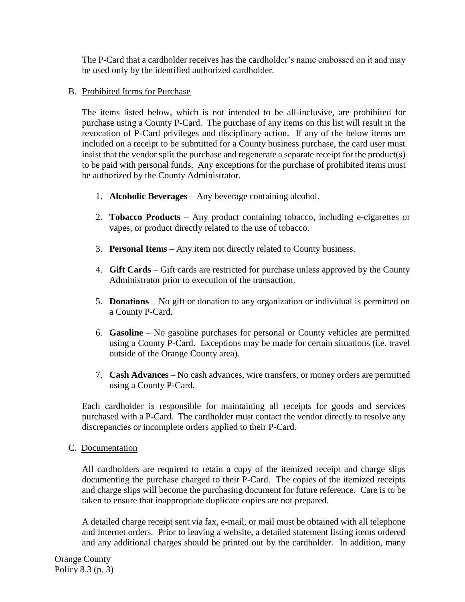The P-Card that a cardholder receives has the cardholder's name embossed on it and may be used only by the identified authorized cardholder.

# B. Prohibited Items for Purchase

The items listed below, which is not intended to be all-inclusive, are prohibited for purchase using a County P-Card. The purchase of any items on this list will result in the revocation of P-Card privileges and disciplinary action. If any of the below items are included on a receipt to be submitted for a County business purchase, the card user must insist that the vendor split the purchase and regenerate a separate receipt for the product(s) to be paid with personal funds. Any exceptions for the purchase of prohibited items must be authorized by the County Administrator.

- 1. **Alcoholic Beverages** Any beverage containing alcohol.
- 2. **Tobacco Products**  Any product containing tobacco, including e-cigarettes or vapes, or product directly related to the use of tobacco.
- 3. **Personal Items**  Any item not directly related to County business.
- 4. **Gift Cards**  Gift cards are restricted for purchase unless approved by the County Administrator prior to execution of the transaction.
- 5. **Donations**  No gift or donation to any organization or individual is permitted on a County P-Card.
- 6. **Gasoline**  No gasoline purchases for personal or County vehicles are permitted using a County P-Card. Exceptions may be made for certain situations (i.e. travel outside of the Orange County area).
- 7. **Cash Advances**  No cash advances, wire transfers, or money orders are permitted using a County P-Card.

Each cardholder is responsible for maintaining all receipts for goods and services purchased with a P-Card. The cardholder must contact the vendor directly to resolve any discrepancies or incomplete orders applied to their P-Card.

C. Documentation

All cardholders are required to retain a copy of the itemized receipt and charge slips documenting the purchase charged to their P-Card. The copies of the itemized receipts and charge slips will become the purchasing document for future reference. Care is to be taken to ensure that inappropriate duplicate copies are not prepared.

A detailed charge receipt sent via fax, e-mail, or mail must be obtained with all telephone and Internet orders. Prior to leaving a website, a detailed statement listing items ordered and any additional charges should be printed out by the cardholder. In addition, many

Orange County Policy 8.3 (p. 3)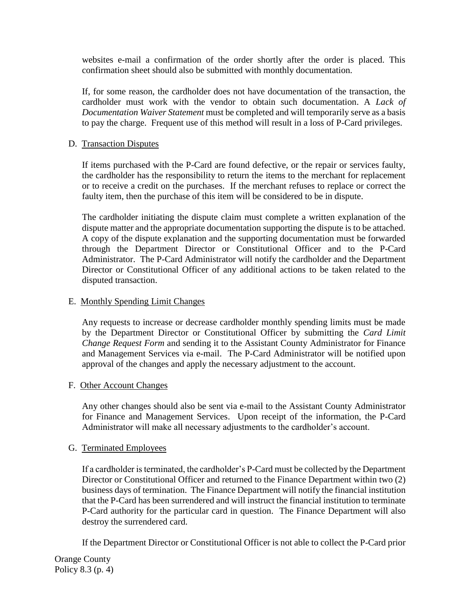websites e-mail a confirmation of the order shortly after the order is placed. This confirmation sheet should also be submitted with monthly documentation.

If, for some reason, the cardholder does not have documentation of the transaction, the cardholder must work with the vendor to obtain such documentation. A *Lack of Documentation Waiver Statement* must be completed and will temporarily serve as a basis to pay the charge. Frequent use of this method will result in a loss of P-Card privileges.

## D. Transaction Disputes

If items purchased with the P-Card are found defective, or the repair or services faulty, the cardholder has the responsibility to return the items to the merchant for replacement or to receive a credit on the purchases. If the merchant refuses to replace or correct the faulty item, then the purchase of this item will be considered to be in dispute.

The cardholder initiating the dispute claim must complete a written explanation of the dispute matter and the appropriate documentation supporting the dispute is to be attached. A copy of the dispute explanation and the supporting documentation must be forwarded through the Department Director or Constitutional Officer and to the P-Card Administrator. The P-Card Administrator will notify the cardholder and the Department Director or Constitutional Officer of any additional actions to be taken related to the disputed transaction.

## E. Monthly Spending Limit Changes

Any requests to increase or decrease cardholder monthly spending limits must be made by the Department Director or Constitutional Officer by submitting the *Card Limit Change Request Form* and sending it to the Assistant County Administrator for Finance and Management Services via e-mail. The P-Card Administrator will be notified upon approval of the changes and apply the necessary adjustment to the account.

#### F. Other Account Changes

Any other changes should also be sent via e-mail to the Assistant County Administrator for Finance and Management Services. Upon receipt of the information, the P-Card Administrator will make all necessary adjustments to the cardholder's account.

## G. Terminated Employees

If a cardholder is terminated, the cardholder's P-Card must be collected by the Department Director or Constitutional Officer and returned to the Finance Department within two (2) business days of termination. The Finance Department will notify the financial institution that the P-Card has been surrendered and will instruct the financial institution to terminate P-Card authority for the particular card in question. The Finance Department will also destroy the surrendered card.

If the Department Director or Constitutional Officer is not able to collect the P-Card prior

Orange County Policy 8.3 (p. 4)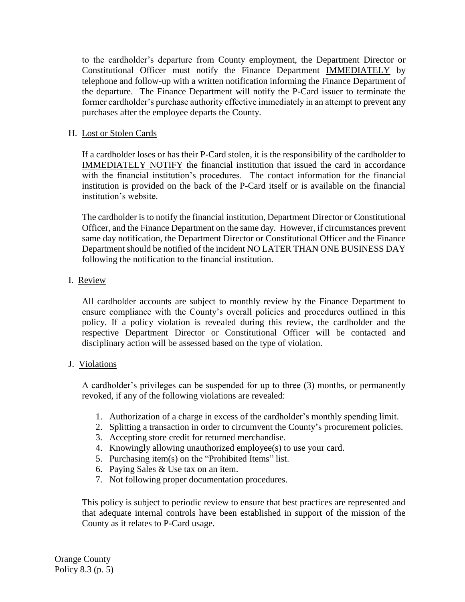to the cardholder's departure from County employment, the Department Director or Constitutional Officer must notify the Finance Department IMMEDIATELY by telephone and follow-up with a written notification informing the Finance Department of the departure. The Finance Department will notify the P-Card issuer to terminate the former cardholder's purchase authority effective immediately in an attempt to prevent any purchases after the employee departs the County.

## H. Lost or Stolen Cards

If a cardholder loses or has their P-Card stolen, it is the responsibility of the cardholder to IMMEDIATELY NOTIFY the financial institution that issued the card in accordance with the financial institution's procedures. The contact information for the financial institution is provided on the back of the P-Card itself or is available on the financial institution's website.

The cardholder is to notify the financial institution, Department Director or Constitutional Officer, and the Finance Department on the same day. However, if circumstances prevent same day notification, the Department Director or Constitutional Officer and the Finance Department should be notified of the incident NO LATER THAN ONE BUSINESS DAY following the notification to the financial institution.

## I. Review

All cardholder accounts are subject to monthly review by the Finance Department to ensure compliance with the County's overall policies and procedures outlined in this policy. If a policy violation is revealed during this review, the cardholder and the respective Department Director or Constitutional Officer will be contacted and disciplinary action will be assessed based on the type of violation.

#### J. Violations

A cardholder's privileges can be suspended for up to three (3) months, or permanently revoked, if any of the following violations are revealed:

- 1. Authorization of a charge in excess of the cardholder's monthly spending limit.
- 2. Splitting a transaction in order to circumvent the County's procurement policies.
- 3. Accepting store credit for returned merchandise.
- 4. Knowingly allowing unauthorized employee(s) to use your card.
- 5. Purchasing item(s) on the "Prohibited Items" list.
- 6. Paying Sales & Use tax on an item.
- 7. Not following proper documentation procedures.

This policy is subject to periodic review to ensure that best practices are represented and that adequate internal controls have been established in support of the mission of the County as it relates to P-Card usage.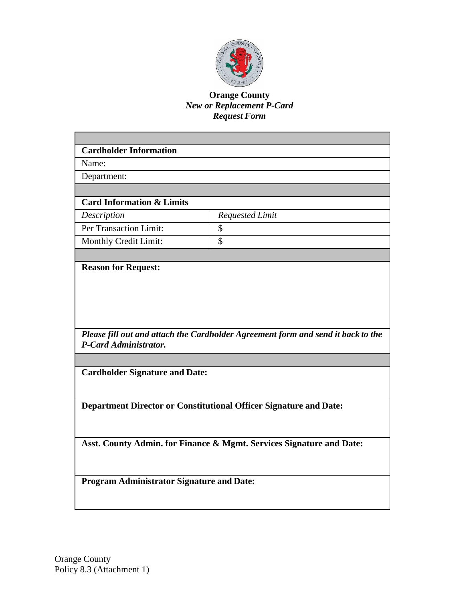

## **Orange County** *New or Replacement P-Card Request Form*

| <b>Cardholder Information</b>                                        |                                                                                  |  |  |  |
|----------------------------------------------------------------------|----------------------------------------------------------------------------------|--|--|--|
| Name:                                                                |                                                                                  |  |  |  |
| Department:                                                          |                                                                                  |  |  |  |
|                                                                      |                                                                                  |  |  |  |
| <b>Card Information &amp; Limits</b>                                 |                                                                                  |  |  |  |
| Description                                                          | <b>Requested Limit</b>                                                           |  |  |  |
| Per Transaction Limit:                                               | \$                                                                               |  |  |  |
| Monthly Credit Limit:                                                | \$                                                                               |  |  |  |
|                                                                      |                                                                                  |  |  |  |
| <b>Reason for Request:</b>                                           |                                                                                  |  |  |  |
|                                                                      |                                                                                  |  |  |  |
|                                                                      |                                                                                  |  |  |  |
|                                                                      |                                                                                  |  |  |  |
|                                                                      |                                                                                  |  |  |  |
|                                                                      | Please fill out and attach the Cardholder Agreement form and send it back to the |  |  |  |
| P-Card Administrator.                                                |                                                                                  |  |  |  |
|                                                                      |                                                                                  |  |  |  |
| <b>Cardholder Signature and Date:</b>                                |                                                                                  |  |  |  |
|                                                                      |                                                                                  |  |  |  |
|                                                                      |                                                                                  |  |  |  |
|                                                                      | Department Director or Constitutional Officer Signature and Date:                |  |  |  |
|                                                                      |                                                                                  |  |  |  |
|                                                                      |                                                                                  |  |  |  |
| Asst. County Admin. for Finance & Mgmt. Services Signature and Date: |                                                                                  |  |  |  |
|                                                                      |                                                                                  |  |  |  |
|                                                                      |                                                                                  |  |  |  |
| <b>Program Administrator Signature and Date:</b>                     |                                                                                  |  |  |  |
|                                                                      |                                                                                  |  |  |  |
|                                                                      |                                                                                  |  |  |  |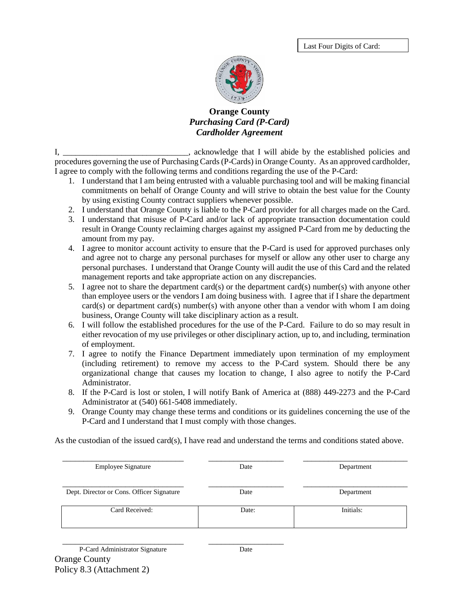Last Four Digits of Card:



## **Orange County** *Purchasing Card (P-Card) Cardholder Agreement*

I, the stablished policies and is acknowledge that I will abide by the established policies and procedures governing the use of Purchasing Cards(P-Cards) in Orange County. As an approved cardholder, I agree to comply with the following terms and conditions regarding the use of the P-Card:

- 1. I understand that I am being entrusted with a valuable purchasing tool and will be making financial commitments on behalf of Orange County and will strive to obtain the best value for the County by using existing County contract suppliers whenever possible.
- 2. I understand that Orange County is liable to the P-Card provider for all charges made on the Card.
- 3. I understand that misuse of P-Card and/or lack of appropriate transaction documentation could result in Orange County reclaiming charges against my assigned P-Card from me by deducting the amount from my pay.
- 4. I agree to monitor account activity to ensure that the P-Card is used for approved purchases only and agree not to charge any personal purchases for myself or allow any other user to charge any personal purchases. I understand that Orange County will audit the use of this Card and the related management reports and take appropriate action on any discrepancies.
- 5. I agree not to share the department card(s) or the department card(s) number(s) with anyone other than employee users or the vendors I am doing business with. I agree that if I share the department card(s) or department card(s) number(s) with anyone other than a vendor with whom I am doing business, Orange County will take disciplinary action as a result.
- 6. I will follow the established procedures for the use of the P-Card. Failure to do so may result in either revocation of my use privileges or other disciplinary action, up to, and including, termination of employment.
- 7. I agree to notify the Finance Department immediately upon termination of my employment (including retirement) to remove my access to the P-Card system. Should there be any organizational change that causes my location to change, I also agree to notify the P-Card Administrator.
- 8. If the P-Card is lost or stolen, I will notify Bank of America at (888) 449-2273 and the P-Card Administrator at (540) 661-5408 immediately.
- 9. Orange County may change these terms and conditions or its guidelines concerning the use of the P-Card and I understand that I must comply with those changes.

As the custodian of the issued card(s), I have read and understand the terms and conditions stated above.

| <b>Employee Signature</b>                 | Date  | Department |
|-------------------------------------------|-------|------------|
| Dept. Director or Cons. Officer Signature | Date  | Department |
| Card Received:                            | Date: | Initials:  |

\_\_\_\_\_\_\_\_\_\_\_\_\_\_\_\_\_\_\_\_\_\_\_\_\_\_\_\_\_ \_\_\_\_\_\_\_\_\_\_\_\_\_\_\_\_\_\_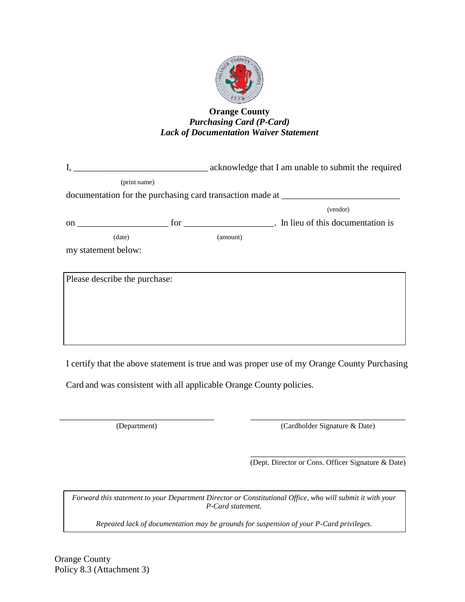

## **Orange County** *Purchasing Card (P-Card) Lack of Documentation Waiver Statement*

|                     |                               |          | documentation for the purchasing card transaction made at<br>(vendor) |
|---------------------|-------------------------------|----------|-----------------------------------------------------------------------|
|                     |                               |          |                                                                       |
|                     | (date)                        | (amount) |                                                                       |
| my statement below: |                               |          |                                                                       |
|                     |                               |          |                                                                       |
|                     | Please describe the purchase: |          |                                                                       |

I certify that the above statement is true and was proper use of my Orange County Purchasing

Card and was consistent with all applicable Orange County policies.

\_\_\_\_\_\_\_\_\_\_\_\_\_\_\_\_\_\_\_\_\_\_\_\_\_\_\_\_\_\_\_\_\_\_ \_\_\_\_\_\_\_\_\_\_\_\_\_\_\_\_\_\_\_\_\_\_\_\_\_\_\_\_\_\_\_\_\_\_ (Department) (Cardholder Signature & Date)

> \_\_\_\_\_\_\_\_\_\_\_\_\_\_\_\_\_\_\_\_\_\_\_\_\_\_\_\_\_\_\_\_\_\_ (Dept. Director or Cons. Officer Signature & Date)

*Forward this statement to your Department Director or Constitutional Office, who will submit it with your P-Card statement.*

*Repeated lack of documentation may be grounds for suspension of your P-Card privileges.*